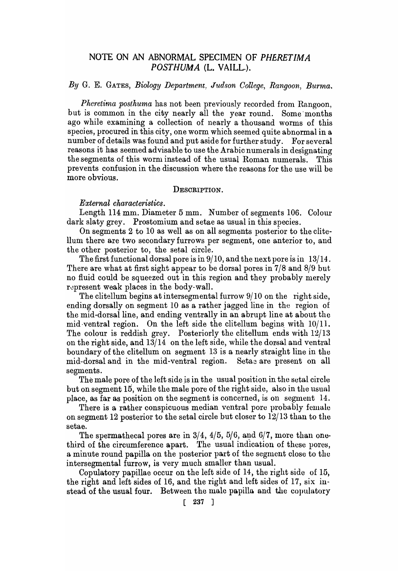# NOTE ON AN ABNORMAL SPECIMEN OF *PHERETIMA POSTHUMA* (L. VAILL.).

# *By* G. E. GATES, *Biology Department, Judson College, Rangoon, BUT1na.*

*Pheretima posthuma* has not been previously recorded from Rangoon, but is common in the city nearly all the year round. Some' months ago while examining a collection of nearly a thousand worms of this species, procured in this city, one worm which seemed quite abnormal in a number of details was found and put aside for further study. For several reasons it has seemed advisable to use the Arabic numerals in designating the segments of this worm instead of the usual Roman numerals. This prevents confusion in the discussion where the reasons for the use will be more obvious.

## DESCRIPTION.

# $External$  *characteristics.*

Length 114 mm. Diameter 5 mm. Number of segments 106. Colour dark slaty grey. Prostomium and setae as usual in this species.

On segments 2 to 10 as well as on all segments posterior to the clite-Uum there are two secondary furrows per segment, one anterior to, and the other posterior to, the setal circle.

The first functional dorsal pore is in 9/10, and the next pore is in 13/14. There are what at first sight appear to be dorsal pores in 7/8 and 8/9 but no fluid could be squeezed out in this region and they probably merely represent weak places in the body-wall.

The clitellum begins at intersegmental furrow  $9/10$  on the right side, ending dorsally on segment 10 as a rather jagged line in the region of the mid-dorsal line, and ending ventrally in an abrupt line at about the mid ventral region. On the left side the clitellum begins with  $10/11$ . The colour is reddish grey. Posteriorly the clitellum ends with 12/13 on the right side, and  $13/14$  on the left side, while the dorsal and ventral boundary of the clitellum on segment 13 is a nearly straight line in the mid-dorsal and in the mid-ventral region. Setas are present on all segments.

The male pore of the left side is in the usual position in the setal circle but on segment 15, while the male pore of the right side, also in the usual place, as far as position on the segment is concerned, is on segment  $14$ .

There is a rather conspicuous median ventral pore probably female on segment 12 posterior to the setal circle but closer to 12/13 than to the setae.

The spermathecal pores are in  $3/4$ ,  $4/5$ ,  $5/6$ , and  $6/7$ , more than onethird of the circumference apart. The usual indication of these pores, a minute round papilla on the posterior part of the segment close to the intersegmental furrow, is very much smaller than usual.

CopUlatory papillae occur on the left side of 14, the right side of 15, the right and left sides of 16, and the right and left sides of 17, six instead of the usual four. Between the male papilla and the copulatory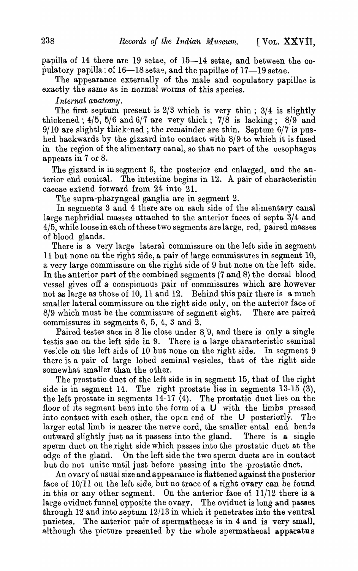papilla of 14 there are 19 setae, of 15-14 setae, and between the copulatory papilla:  $o^c$  16-18 setae, and the papillae of 17-19 setae.

The appearance externally of the male and copulatory papillae is exactly the same as in normal worms of this species.

## *Internal anatomy.*

The first septum present is  $2/3$  which is very thin;  $3/4$  is slightly thickened;  $4/5$ ,  $5/6$  and  $6/7$  are very thick;  $7/8$  is lacking;  $8/9$  and  $9/10$  are slightly thick ned; the remainder are thin. Septum  $6/7$  is pushed backwards by the gizzard into contact with 8/9 to which it is fused in the region of the alimentary canal, so that no part of the oesophagus appears in 7 or 8.

The gizzard is in segment 6, the posterior end enlarged, and the anterior end conical. The intestine begins in 12. A pair of characteristic caecae extend forward from 24 into 21.

The supra-pharyngeal ganglia are in segment  $2$ .

In segments 3 and 4 there are on each side of the alimentary canal large nephridial masses attached to the anterior faces of septa 3/4 and 4/5, while loose in each of these two segments are large, red, paired masses of blood glands.

There is a very large lateral commissure on the left side in segment 11 but none on the right side, a pair of large commissures in segment 10, a very large commissure on the right side of 9 but none on the left side. In the anterior part of the combined segments (7 and 8) the dorsal blood vessel gives off a conspicuous pair of commissures which are however not as large as those of 10, 11 and 12. Behind this pair there is a much smaller lateral commissure on the right side only, on the anterior face of 8/9 which must be the commissure of segment eight. There are paired  $8/9$  which must be the commissure of segment eight. commissures in segments 6, 5, 4, 3 and 2.

Paired testes sacs in 8 lie close under 8,9, and there is only a single testis sac on the left side in 9. There is a large characteristic seminal ves:cle on the left side of 10 but none on the right side. In segment 9 there is a pair of large lobed seminal vesicles, that of the right side somewhat smaller than the other.

The prostatic duct of the left side is in segment 15, that of the right side is in segment 14. The right prostate lies in segments 13-15 (3), the left prostate in segments 14-17 (4). The prostatic duct lies on the floor of its segment bent into the form of a  $U$  with the limbs pressed into contact with each other, the open end of the U posteriorly. The larger ectal limb is nearer the nerve cord, the smaller ental end bends outward slightly just as it passess into the gland. There is a single sperm duct on the right side which passes into the prostatic duct at the edge of the gland. On the left side the two sperm ducts are in contact but do not unite until just before passing into the prostatic duct.

An ovary of usual size and appearance is flattened against the posterior face of  $10/11$  on the left side, but no trace of a right ovary can be found in this or any other segment. On the anterior face of 11/12 there is a large oviduct funnel opposite the ovary. The oviduct is long and passes through 12 and into septum *12,113* in which it penetrates into the ventral parietes. The anterior pair of spermathecae is in 4 and is very small. although the picture presented by the whole spermathecal apparatus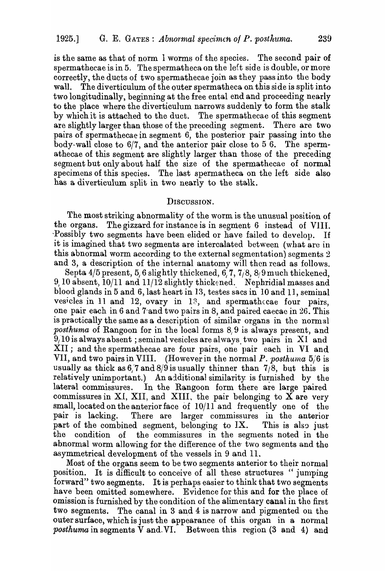is the same as that of norm 1 worms of the species. The second pair of spermathecae is in 5. The spermatheca on the left side is double, or more correctly, the ducts of two spermathecae join as they pass into the body wall. The diverticulum of the outer spermatheca on this side is split into two longitudinally, beginning at the free ental end and proceeding nearly to the place where the diverticulum narrows suddenly to form the stalk by which it is attached to the duct. The spermathecae of this segment are slightly larger than those of the preceding segment. There are two pairs of spermathecae in segment 6, the posterior pair passing into the body-wall close to 6/7, and the anterior pair close to 5 6. The spermathecae of this segment are slightly larger than those of the preceding segment but only about half the size of the spermathecae of normal specimens of this species. The last spermatheca on the left side also has a diverticulum split in two nearly to the stalk.

## DISCUSSION.

The most striking abnormality of the worm is the unusual position of the organs. The gizzard for instance is in segment 6 instead of VIII. The gizzard for instance is in segment 6 instead of VIII. Possibly two segments have been elided or have failed to develop. If it is imagined that two segments are intercalated between (what are in this abnormal worm according to the external segmentation) segments 2 and 3, a description of the internal anatomy will then read as follows.

Septa  $4/5$  present,  $5/6$  slightly thickened,  $6/7$ ,  $7/8$ ,  $8/9$  much thickened, *9/ 10* absent, *10/11* and 11/12 slightly thickened.. Nephridial masses and blood glands in 5 and 6, last heart in 13, testes sacs in 10 and 11, seminal vesicles in 11 and 12, ovary in  $1^3$ , and spermathccae four pairs, one pair each in 6 and 7-and two pairs in 8, and paired caecac in 26. This is practically the same as a description of similar organs in the normal *posthuma* of Rangoon for in the local forms 8,9 is always present, and  $9/10$  is always absent; seminal vesicles are always. two pairs in XI and XII; and the spermathecae are four pairs, one pair each in VI and VII, and two pairs in VIII. (However in the normal P. posthuma 5/6 is usually as thick as  $6/7$  and  $8/9$  is usually thinner than  $7/8$ , but this is relatively unimportant.) An additional similarity is furnished by the lateral commissures. In the Rangoon form there are large paired commissures in XI, XII, and XIII, the pair belonging to X are very small, located on the anterior face of 10/11 and frequently one of the pair is lacking. There are larger commissures in the anterior part of the combined segment, belonging to IX. This is also just the condition of the commissures in the segments noted in the abnormal worm allowing for the difference of the two segments and the asymmetrical development of the vessels in 9 and 11.

Most of the organs seem to be two segments anterior to their normal position. It is difficult to conceive of all these structures "jumping forward" two segments. It is perhaps easier to think that two segments have been omitted somewhere. Evidence for this and for the place of omission is furnished by the condition of the alimentary canal in the first two segments. The canal in 3 and 4 is narrow and pigmented on the outer surface, which is just the appearance of this organ in a normal *posthuma* in segments  $\bar{V}$  and  $\bar{V}$ . Between this region (3 and 4) and